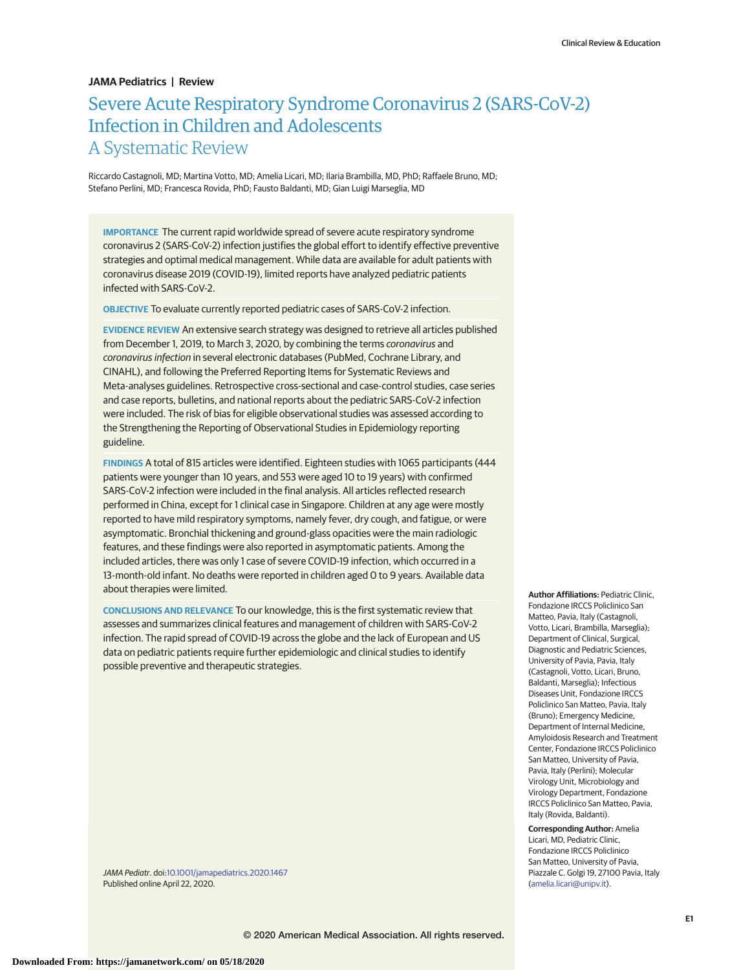## **JAMA Pediatrics | Review**

# Severe Acute Respiratory Syndrome Coronavirus 2 (SARS-CoV-2) Infection in Children and Adolescents A Systematic Review

Riccardo Castagnoli, MD; Martina Votto, MD; Amelia Licari, MD; Ilaria Brambilla, MD, PhD; Raffaele Bruno, MD; Stefano Perlini, MD; Francesca Rovida, PhD; Fausto Baldanti, MD; Gian Luigi Marseglia, MD

**IMPORTANCE** The current rapid worldwide spread of severe acute respiratory syndrome coronavirus 2 (SARS-CoV-2) infection justifies the global effort to identify effective preventive strategies and optimal medical management. While data are available for adult patients with coronavirus disease 2019 (COVID-19), limited reports have analyzed pediatric patients infected with SARS-CoV-2.

**OBJECTIVE** To evaluate currently reported pediatric cases of SARS-CoV-2 infection.

**EVIDENCE REVIEW** An extensive search strategy was designed to retrieve all articles published from December 1, 2019, to March 3, 2020, by combining the terms coronavirus and coronavirus infection in several electronic databases (PubMed, Cochrane Library, and CINAHL), and following the Preferred Reporting Items for Systematic Reviews and Meta-analyses guidelines. Retrospective cross-sectional and case-control studies, case series and case reports, bulletins, and national reports about the pediatric SARS-CoV-2 infection were included. The risk of bias for eligible observational studies was assessed according to the Strengthening the Reporting of Observational Studies in Epidemiology reporting guideline.

**FINDINGS** A total of 815 articles were identified. Eighteen studies with 1065 participants (444 patients were younger than 10 years, and 553 were aged 10 to 19 years) with confirmed SARS-CoV-2 infection were included in the final analysis. All articles reflected research performed in China, except for 1 clinical case in Singapore. Children at any age were mostly reported to have mild respiratory symptoms, namely fever, dry cough, and fatigue, or were asymptomatic. Bronchial thickening and ground-glass opacities were the main radiologic features, and these findings were also reported in asymptomatic patients. Among the included articles, there was only 1 case of severe COVID-19 infection, which occurred in a 13-month-old infant. No deaths were reported in children aged 0 to 9 years. Available data about therapies were limited.

**CONCLUSIONS AND RELEVANCE** To our knowledge, this is the first systematic review that assesses and summarizes clinical features and management of children with SARS-CoV-2 infection. The rapid spread of COVID-19 across the globe and the lack of European and US data on pediatric patients require further epidemiologic and clinical studies to identify possible preventive and therapeutic strategies.

JAMA Pediatr. doi[:10.1001/jamapediatrics.2020.1467](https://jamanetwork.com/journals/jama/fullarticle/10.1001/jamapediatrics.2020.1467?utm_campaign=articlePDF%26utm_medium=articlePDFlink%26utm_source=articlePDF%26utm_content=jamapediatrics.2020.1467) Published online April 22, 2020.

**Author Affiliations:** Pediatric Clinic, Fondazione IRCCS Policlinico San Matteo, Pavia, Italy (Castagnoli, Votto, Licari, Brambilla, Marseglia); Department of Clinical, Surgical, Diagnostic and Pediatric Sciences, University of Pavia, Pavia, Italy (Castagnoli, Votto, Licari, Bruno, Baldanti, Marseglia); Infectious Diseases Unit, Fondazione IRCCS Policlinico San Matteo, Pavia, Italy (Bruno); Emergency Medicine, Department of Internal Medicine, Amyloidosis Research and Treatment Center, Fondazione IRCCS Policlinico San Matteo, University of Pavia, Pavia, Italy (Perlini); Molecular Virology Unit, Microbiology and Virology Department, Fondazione IRCCS Policlinico San Matteo, Pavia, Italy (Rovida, Baldanti).

**Corresponding Author:** Amelia Licari, MD, Pediatric Clinic, Fondazione IRCCS Policlinico San Matteo, University of Pavia, Piazzale C. Golgi 19, 27100 Pavia, Italy [\(amelia.licari@unipv.it\)](mailto:amelia.licari@unipv.it).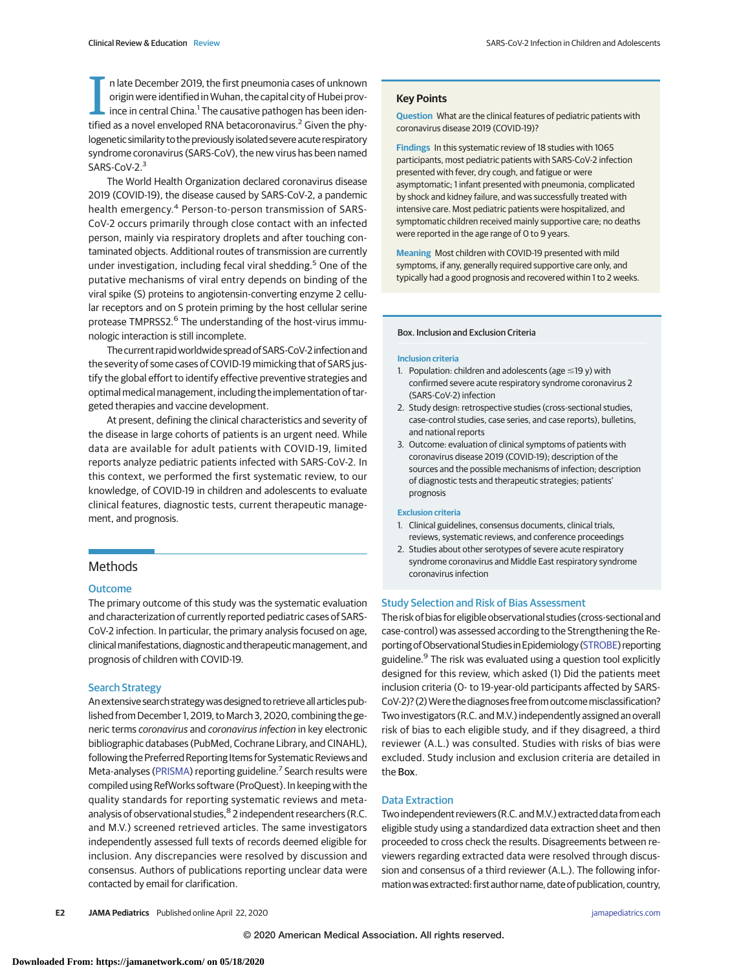In late December 2019, the first pneumonia cases of unknown<br>origin were identified in Wuhan, the capital city of Hubei prov-<br>ince in central China.<sup>1</sup> The causative pathogen has been iden-<br>tified as a novel enveloped RNA b n late December 2019, the first pneumonia cases of unknown origin were identified in Wuhan, the capital city of Hubei province in central China.<sup>1</sup> The causative pathogen has been idenlogenetic similarity to the previously isolated severe acute respiratory syndrome coronavirus (SARS-CoV), the new virus has been named SARS-CoV-2.<sup>3</sup>

The World Health Organization declared coronavirus disease 2019 (COVID-19), the disease caused by SARS-CoV-2, a pandemic health emergency.<sup>4</sup> Person-to-person transmission of SARS-CoV-2 occurs primarily through close contact with an infected person, mainly via respiratory droplets and after touching contaminated objects. Additional routes of transmission are currently under investigation, including fecal viral shedding.<sup>5</sup> One of the putative mechanisms of viral entry depends on binding of the viral spike (S) proteins to angiotensin-converting enzyme 2 cellular receptors and on S protein priming by the host cellular serine protease TMPRSS2.<sup>6</sup> The understanding of the host-virus immunologic interaction is still incomplete.

The current rapid worldwide spread of SARS-CoV-2 infection and the severity of some cases of COVID-19 mimicking that of SARS justify the global effort to identify effective preventive strategies and optimal medical management, including the implementation of targeted therapies and vaccine development.

At present, defining the clinical characteristics and severity of the disease in large cohorts of patients is an urgent need. While data are available for adult patients with COVID-19, limited reports analyze pediatric patients infected with SARS-CoV-2. In this context, we performed the first systematic review, to our knowledge, of COVID-19 in children and adolescents to evaluate clinical features, diagnostic tests, current therapeutic management, and prognosis.

# Methods

## **Outcome**

The primary outcome of this study was the systematic evaluation and characterization of currently reported pediatric cases of SARS-CoV-2 infection. In particular, the primary analysis focused on age, clinical manifestations, diagnostic and therapeutic management, and prognosis of children with COVID-19.

### Search Strategy

Anextensive search strategywas designed to retrieveallarticles published from December 1, 2019, to March 3, 2020, combining the generic terms coronavirus and coronavirus infection in key electronic bibliographic databases (PubMed, Cochrane Library, and CINAHL), following the Preferred Reporting Items for Systematic Reviews and Meta-analyses [\(PRISMA\)](http://www.equator-network.org/reporting-guidelines/prisma/) reporting guideline.<sup>7</sup> Search results were compiled using RefWorks software (ProQuest). In keeping with the quality standards for reporting systematic reviews and metaanalysis of observational studies, <sup>8</sup> 2 independent researchers (R.C. and M.V.) screened retrieved articles. The same investigators independently assessed full texts of records deemed eligible for inclusion. Any discrepancies were resolved by discussion and consensus. Authors of publications reporting unclear data were contacted by email for clarification.

## **Key Points**

**Question** What are the clinical features of pediatric patients with coronavirus disease 2019 (COVID-19)?

**Findings** In this systematic review of 18 studies with 1065 participants, most pediatric patients with SARS-CoV-2 infection presented with fever, dry cough, and fatigue or were asymptomatic; 1 infant presented with pneumonia, complicated by shock and kidney failure, and was successfully treated with intensive care. Most pediatric patients were hospitalized, and symptomatic children received mainly supportive care; no deaths were reported in the age range of 0 to 9 years.

**Meaning** Most children with COVID-19 presented with mild symptoms, if any, generally required supportive care only, and typically had a good prognosis and recovered within 1 to 2 weeks.

#### Box. Inclusion and Exclusion Criteria

#### **Inclusion criteria**

- 1. Population: children and adolescents (age  $\leq$ 19 y) with confirmed severe acute respiratory syndrome coronavirus 2 (SARS-CoV-2) infection
- 2. Study design: retrospective studies (cross-sectional studies, case-control studies, case series, and case reports), bulletins, and national reports
- 3. Outcome: evaluation of clinical symptoms of patients with coronavirus disease 2019 (COVID-19); description of the sources and the possible mechanisms of infection; description of diagnostic tests and therapeutic strategies; patients' prognosis

#### **Exclusion criteria**

- 1. Clinical guidelines, consensus documents, clinical trials, reviews, systematic reviews, and conference proceedings
- 2. Studies about other serotypes of severe acute respiratory syndrome coronavirus and Middle East respiratory syndrome coronavirus infection

### Study Selection and Risk of Bias Assessment

The risk of bias for eligible observational studies (cross-sectional and case-control) was assessed according to the Strengthening the Re-porting of Observational Studies in Epidemiology [\(STROBE\)](http://www.equator-network.org/reporting-guidelines/strobe/) reporting guideline.<sup>9</sup> The risk was evaluated using a question tool explicitly designed for this review, which asked (1) Did the patients meet inclusion criteria (0- to 19-year-old participants affected by SARS-CoV-2)? (2) Were the diagnoses free from outcome misclassification? Two investigators (R.C. and M.V.) independently assigned an overall risk of bias to each eligible study, and if they disagreed, a third reviewer (A.L.) was consulted. Studies with risks of bias were excluded. Study inclusion and exclusion criteria are detailed in the Box.

### Data Extraction

Two independent reviewers (R.C. and M.V.) extracted data from each eligible study using a standardized data extraction sheet and then proceeded to cross check the results. Disagreements between reviewers regarding extracted data were resolved through discussion and consensus of a third reviewer (A.L.). The following information was extracted: first author name, date of publication, country,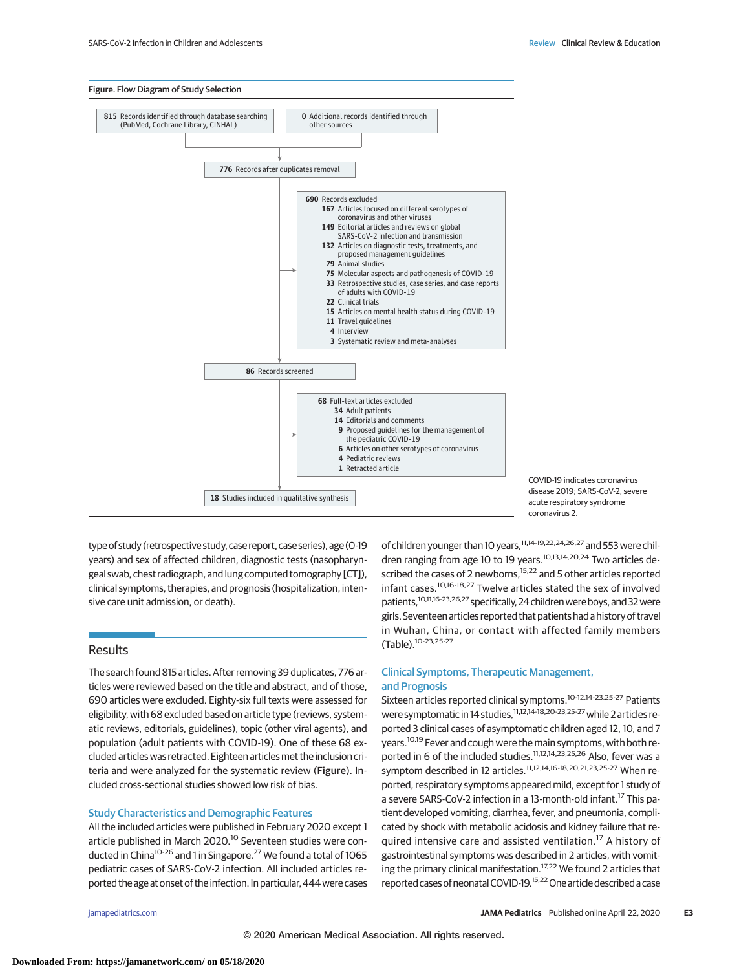

COVID-19 indicates coronavirus disease 2019; SARS-CoV-2, severe acute respiratory syndrome coronavirus 2.

type of study (retrospective study, case report, case series), age (0-19 years) and sex of affected children, diagnostic tests (nasopharyngeal swab, chest radiograph, and lung computed tomography [CT]), clinical symptoms, therapies, and prognosis (hospitalization, intensive care unit admission, or death).

# Results

The search found 815 articles. After removing 39 duplicates, 776 articles were reviewed based on the title and abstract, and of those, 690 articles were excluded. Eighty-six full texts were assessed for eligibility, with 68 excluded based on article type (reviews, systematic reviews, editorials, guidelines), topic (other viral agents), and population (adult patients with COVID-19). One of these 68 excluded articles was retracted. Eighteen articlesmet the inclusion criteria and were analyzed for the systematic review (Figure). Included cross-sectional studies showed low risk of bias.

## Study Characteristics and Demographic Features

All the included articles were published in February 2020 except 1 article published in March 2020.<sup>10</sup> Seventeen studies were conducted in China<sup>10-26</sup> and 1 in Singapore.<sup>27</sup> We found a total of 1065 pediatric cases of SARS-CoV-2 infection. All included articles reported the age at onset of the infection. In particular, 444 were cases of children younger than 10 years,11,14-19,22,24,26,27 and 553 were children ranging from age 10 to 19 years.<sup>10,13,14,20,24</sup> Two articles described the cases of 2 newborns,<sup>15,22</sup> and 5 other articles reported infant cases.10,16-18,27 Twelve articles stated the sex of involved patients,<sup>10,11,16-23,26,27</sup> specifically, 24 children were boys, and 32 were girls. Seventeen articles reported that patients had a history of travel in Wuhan, China, or contact with affected family members (Table).10-23,25-27

# Clinical Symptoms, Therapeutic Management, and Prognosis

Sixteen articles reported clinical symptoms.10-12,14-23,25-27 Patients were symptomatic in 14 studies,<sup>11,12,14-18,20-23,25-27</sup> while 2 articles reported 3 clinical cases of asymptomatic children aged 12, 10, and 7 years.<sup>10,19</sup> Fever and cough were the main symptoms, with both reported in 6 of the included studies.<sup>11,12,14,23,25,26</sup> Also, fever was a symptom described in 12 articles.<sup>11,12,14,16-18,20,21,23,25-27</sup> When reported, respiratory symptoms appeared mild, except for 1 study of a severe SARS-CoV-2 infection in a 13-month-old infant.<sup>17</sup> This patient developed vomiting, diarrhea, fever, and pneumonia, complicated by shock with metabolic acidosis and kidney failure that required intensive care and assisted ventilation.<sup>17</sup> A history of gastrointestinal symptoms was described in 2 articles, with vomiting the primary clinical manifestation.<sup>17,22</sup> We found 2 articles that reported cases of neonatal COVID-19.<sup>15,22</sup> One article described a case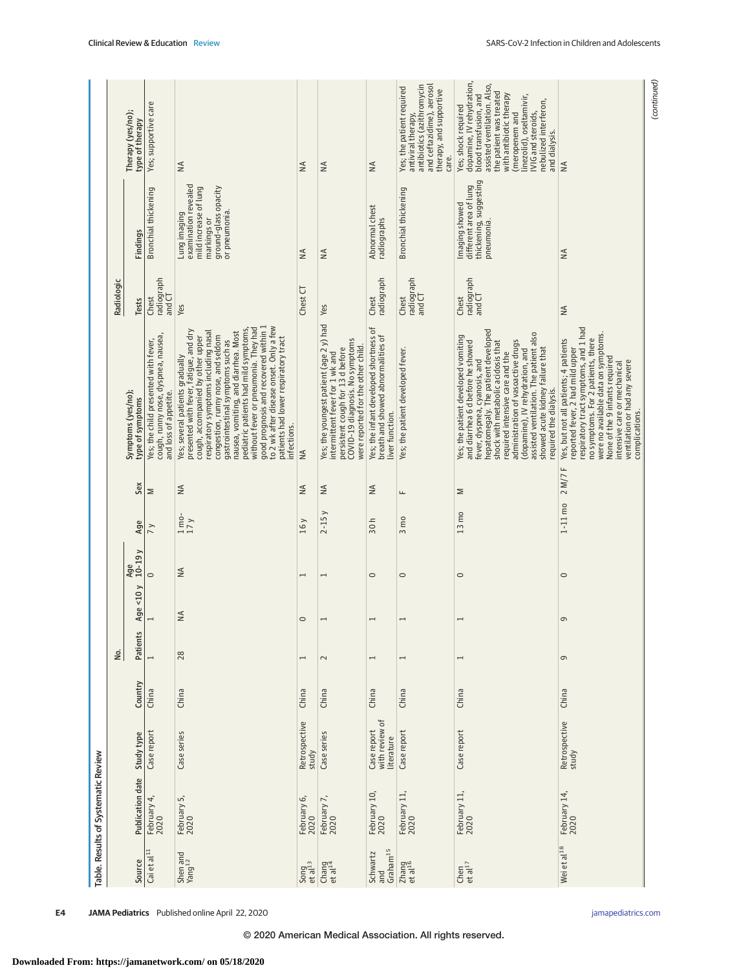|                                     |            | Therapy (yes/no);<br>type of therapy   | Yes; supportive care                                                                                 | $\leq$                                                                                                                                                                                                                                                                                                                                                                                                                                                                                                | $\leq$                                | $\frac{4}{2}$                                                                                                                                                                           | $\leq$                                                                                          | antibiotics (azithromycin<br>and ceftazidime), aerosol<br>Yes; the patient required<br>therapy, and supportive<br>antiviral therapy,<br>care. | dopamine, IV rehydration,<br>assisted ventilation. Also,<br>the patient was treated<br>blood transfusion, and<br>with antibiotic therapy<br>linezolid), oseltamivir,<br>nebulized interferon,<br>Yes; shock required<br>IVIG and steroids,<br>(meropenem and<br>and dialysis.                                                                                                                              | $\leq$                                                                                                                                                                                                                                                                                                               | (continued) |
|-------------------------------------|------------|----------------------------------------|------------------------------------------------------------------------------------------------------|-------------------------------------------------------------------------------------------------------------------------------------------------------------------------------------------------------------------------------------------------------------------------------------------------------------------------------------------------------------------------------------------------------------------------------------------------------------------------------------------------------|---------------------------------------|-----------------------------------------------------------------------------------------------------------------------------------------------------------------------------------------|-------------------------------------------------------------------------------------------------|-----------------------------------------------------------------------------------------------------------------------------------------------|------------------------------------------------------------------------------------------------------------------------------------------------------------------------------------------------------------------------------------------------------------------------------------------------------------------------------------------------------------------------------------------------------------|----------------------------------------------------------------------------------------------------------------------------------------------------------------------------------------------------------------------------------------------------------------------------------------------------------------------|-------------|
|                                     |            | Findings                               | Bronchial thickening                                                                                 | examination revealed<br>ground-glass opacity<br>mild increase of lung<br>or pneumonia.<br>Lung imaging<br>markings or                                                                                                                                                                                                                                                                                                                                                                                 | $\leq$                                | ₹                                                                                                                                                                                       | Abnormal chest<br>radiographs                                                                   | Bronchial thickening                                                                                                                          | thickening, suggesting<br>different area of lung<br>Imaging showed<br>pneumonia.                                                                                                                                                                                                                                                                                                                           | $\leq$                                                                                                                                                                                                                                                                                                               |             |
|                                     | Radiologic | Tests                                  | radiograph<br>and CT<br>Chest                                                                        | Yes                                                                                                                                                                                                                                                                                                                                                                                                                                                                                                   | Chest CT                              | Yes                                                                                                                                                                                     | radiograph<br>Chest                                                                             | radiograph<br>and CT<br>Chest                                                                                                                 | radiograph<br>and CT<br>Chest                                                                                                                                                                                                                                                                                                                                                                              | ₹                                                                                                                                                                                                                                                                                                                    |             |
|                                     |            | Symptoms (yes/no);<br>type of symptoms | cough, runny nose, dyspnea, nausea,<br>Yes; the child presented with fever,<br>and loss of appetite. | to 2 wk after disease onset. Only a few<br>good prognosis and recovered within 1<br>without fever or pneumonia. They had<br>nausea, vomiting, and diarrhea. Most<br>pediatric patients had mild symptoms,<br>presented with fever, fatigue, and dry<br>respiratory symptoms including nasal<br>congestion, runny nose, and seldom<br>cough, accompanied by other upper<br>patients had lower respiratory tract<br>gastrointestinal symptoms such as<br>Yes; several patients gradually<br>infections. | $\leq$                                | Yes; the youngest patient (age 2 y) had<br>COVID-19 diagnosis. No symptoms<br>were reported for the other child.<br>persistent cough for 13 d before<br>intermittent fever for 1 wk and | Yes; the infant developed shortness of<br>breath and showed abnormalities of<br>liver function. | Yes; the patient developed fever.                                                                                                             | nepatomegaly. The patient developed<br>assisted ventilation. The patient also<br>Yes; the patient developed vomiting<br>administration of vasoactive drugs<br>shock with metabolic acidosis that<br>and diarrhea 6 d before he showed<br>showed acute kidney failure that<br>(dopamine), IV rehydration, and<br>required intensive care and the<br>fever, dyspnea, cyanosis, and<br>required the dialysis. | respiratory tract symptoms, and 1 had<br>were no available data on symptoms.<br>no symptoms. For 2 patients, there<br>Yes, but not all patients; 4 patients<br>reported fever, 2 had mild upper<br>None of the 9 infants required<br>ventilation or had any severe<br>intensive care or mechanical<br>complications. |             |
|                                     |            | Sex                                    | Σ                                                                                                    | $\leq$                                                                                                                                                                                                                                                                                                                                                                                                                                                                                                | $\leq$                                | $\leq$                                                                                                                                                                                  | $\frac{4}{2}$                                                                                   | щ                                                                                                                                             | Σ                                                                                                                                                                                                                                                                                                                                                                                                          |                                                                                                                                                                                                                                                                                                                      |             |
|                                     |            | Age                                    | $\frac{1}{2}$                                                                                        | $1 \text{mo}$<br>17y                                                                                                                                                                                                                                                                                                                                                                                                                                                                                  | 16y                                   | $2 - 15y$                                                                                                                                                                               | 30h                                                                                             | $3 \text{ m}$                                                                                                                                 | $13 \text{ m}$                                                                                                                                                                                                                                                                                                                                                                                             | $1 - 11$ mo $2 M / 7 F$                                                                                                                                                                                                                                                                                              |             |
|                                     |            | $10-19y$<br>Age                        | $\circ$                                                                                              | $\lessgtr$                                                                                                                                                                                                                                                                                                                                                                                                                                                                                            | $\overline{\phantom{0}}$              | $\overline{ }$                                                                                                                                                                          | $\circ$                                                                                         | $\circ$                                                                                                                                       | $\circ$                                                                                                                                                                                                                                                                                                                                                                                                    | $\circ$                                                                                                                                                                                                                                                                                                              |             |
|                                     |            | Age < $10 y$                           | $\overline{ }$                                                                                       | ₹                                                                                                                                                                                                                                                                                                                                                                                                                                                                                                     | $\circ$                               | $\overline{ }$                                                                                                                                                                          | $\overline{1}$                                                                                  | $\overline{ }$                                                                                                                                | $\overline{ }$                                                                                                                                                                                                                                                                                                                                                                                             | o                                                                                                                                                                                                                                                                                                                    |             |
|                                     | δ.         | Patients                               | $\overline{ }$                                                                                       | 28                                                                                                                                                                                                                                                                                                                                                                                                                                                                                                    | $\overline{ }$                        | $\sim$                                                                                                                                                                                  | $\overline{ }$                                                                                  | $\overline{ }$                                                                                                                                | $\overline{\phantom{0}}$                                                                                                                                                                                                                                                                                                                                                                                   | G                                                                                                                                                                                                                                                                                                                    |             |
|                                     |            | Country                                | China                                                                                                | China                                                                                                                                                                                                                                                                                                                                                                                                                                                                                                 | China                                 | China                                                                                                                                                                                   | China                                                                                           | China                                                                                                                                         | China                                                                                                                                                                                                                                                                                                                                                                                                      | China                                                                                                                                                                                                                                                                                                                |             |
|                                     |            | Study type                             | Case report                                                                                          | Case series                                                                                                                                                                                                                                                                                                                                                                                                                                                                                           | Retrospective<br>study                | Case series                                                                                                                                                                             | with review of<br>Case report<br>literature                                                     | Case report                                                                                                                                   | Case report                                                                                                                                                                                                                                                                                                                                                                                                | Retrospective<br>study                                                                                                                                                                                                                                                                                               |             |
| Table. Results of Systematic Review |            | <b>Publication date</b>                | February 4,<br>2020                                                                                  | February 5,<br>2020                                                                                                                                                                                                                                                                                                                                                                                                                                                                                   | February 6,<br>2020                   | February 7,<br>2020                                                                                                                                                                     | February 10,<br>2020                                                                            | February 11,<br>2020                                                                                                                          | February 11,<br>2020                                                                                                                                                                                                                                                                                                                                                                                       | February 14,<br>2020                                                                                                                                                                                                                                                                                                 |             |
|                                     |            | Source                                 | Cai et al <sup>11</sup>                                                                              | Shen and<br>Yang <sup>12</sup>                                                                                                                                                                                                                                                                                                                                                                                                                                                                        | $Song$ <sub>et al</sub> <sup>13</sup> | Chang<br>et al <sup>14</sup>                                                                                                                                                            | $G$ raham $^{15}$<br>Schwartz<br>and                                                            | Zhang<br>et al <sup>16</sup>                                                                                                                  | Chen<br>et al $^{17}$                                                                                                                                                                                                                                                                                                                                                                                      | Wei et al <sup>18</sup>                                                                                                                                                                                                                                                                                              |             |

© 2020 American Medical Association. All rights reserved.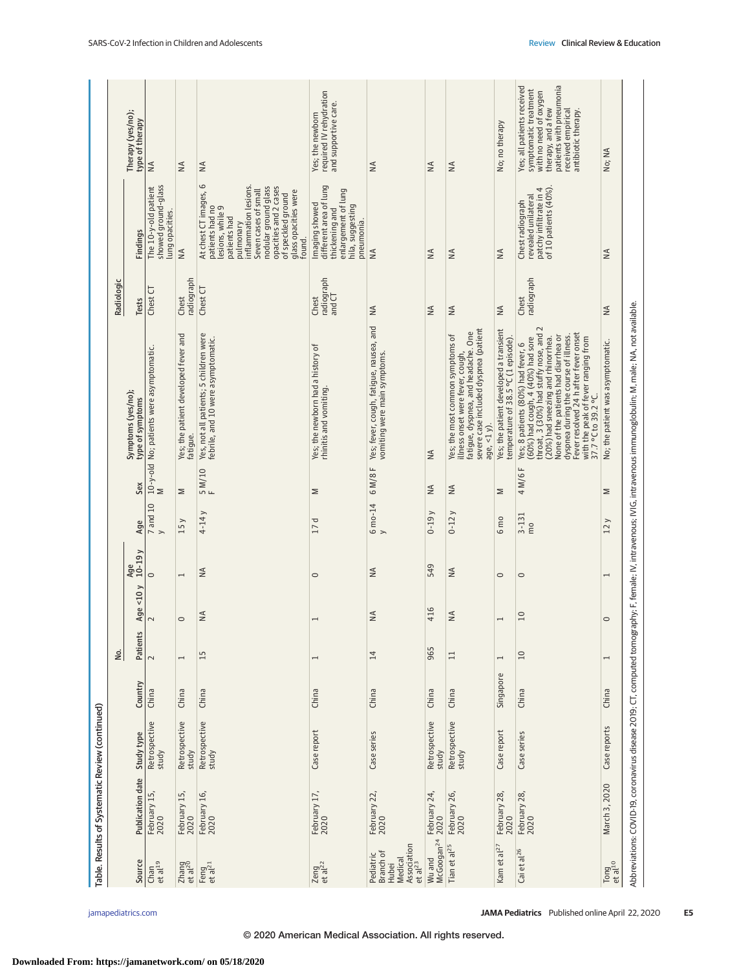|                                                                                  | Table. Results of Systematic Review (continued)                        |                        |           |                          |                |                 |                           |                    |                                                                                                                                                                                                                                                                                                                                                |                               |                                                                                                                                                                                                                                                              |                                                                                                                                                                             |
|----------------------------------------------------------------------------------|------------------------------------------------------------------------|------------------------|-----------|--------------------------|----------------|-----------------|---------------------------|--------------------|------------------------------------------------------------------------------------------------------------------------------------------------------------------------------------------------------------------------------------------------------------------------------------------------------------------------------------------------|-------------------------------|--------------------------------------------------------------------------------------------------------------------------------------------------------------------------------------------------------------------------------------------------------------|-----------------------------------------------------------------------------------------------------------------------------------------------------------------------------|
|                                                                                  |                                                                        |                        |           | δ.                       |                |                 |                           |                    |                                                                                                                                                                                                                                                                                                                                                | Radiologic                    |                                                                                                                                                                                                                                                              |                                                                                                                                                                             |
| Source                                                                           | Publication date                                                       | Study type             | Country   | Patients                 | Age $<$ 10 $y$ | $10-19y$<br>Age | Age                       | Sex                | Symptoms (yes/no);<br>type of symptoms                                                                                                                                                                                                                                                                                                         | Tests                         | Findings                                                                                                                                                                                                                                                     | Therapy (yes/no);<br>type of therapy                                                                                                                                        |
| $_{et \, al^{19}}$                                                               | February 15,<br>2020                                                   | Retrospective<br>study | China     | $\sim$                   | $\sim$         | $\circ$         | 7 and 10<br>$\rightarrow$ | Σ                  | 10-y-old No; patients were asymptomatic.                                                                                                                                                                                                                                                                                                       | Chest CT                      | showed ground-glass<br>The 10-y-old patient<br>lung opacities.                                                                                                                                                                                               | $\leq$                                                                                                                                                                      |
| $Z$ hang<br>et al <sup>20</sup>                                                  | February 15,<br>2020                                                   | Retrospective<br>study | China     | $\overline{\phantom{0}}$ | $\circ$        | 1               | 15y                       | Σ                  | Yes; the patient developed fever and<br>fatigue.                                                                                                                                                                                                                                                                                               | radiograph<br>Chest           | $\leq$                                                                                                                                                                                                                                                       | $\frac{4}{2}$                                                                                                                                                               |
| Feng<br>et al <sup>21</sup>                                                      | February 16,<br>2020                                                   | Retrospective<br>study | China     | 15                       | $\frac{4}{5}$  | $\lessgtr$      | $4-14y$                   | $\frac{5}{F}$ M/10 | Yes, not all patients; 5 children were<br>febrile, and 10 were asymptomatic.                                                                                                                                                                                                                                                                   | Chest CT                      | $\circ$<br>inflammation lesions.<br>nodular ground glass<br>opacities and 2 cases<br>Seven cases of small<br>glass opacities were<br>At chest CT images,<br>of speckled ground<br>patients had no<br>lesions, while 9<br>patients had<br>pulmonary<br>found. | $\leq$                                                                                                                                                                      |
| Zeng<br>et al <sup>22</sup>                                                      | February 17,<br>2020                                                   | Case report            | China     | $\overline{ }$           |                | $\circ$         | 17d                       | Σ                  | Yes; the newborn had a history of<br>rhinitis and vomiting.                                                                                                                                                                                                                                                                                    | radiograph<br>and CT<br>Chest | different area of lung<br>enlargement of lung<br>Imaging showed<br>hila, suggesting<br>thickening and<br>pneumonia.                                                                                                                                          | required IV rehydration<br>and supportive care.<br>Yes; the newborn                                                                                                         |
| Association<br>et al <sup>23</sup><br>Pediatric<br>Branch of<br>Medical<br>Hubei | February 22,<br>2020                                                   | Case series            | China     | 14                       | $\lessgtr$     | $\lessgtr$      | 6 mo-14<br>$\rightarrow$  | 6 M/8 F            | Yes; fever, cough, fatigue, nausea, and<br>vomiting were main symptoms.                                                                                                                                                                                                                                                                        | $\lessgtr$                    | $\leq$                                                                                                                                                                                                                                                       | $\leq$                                                                                                                                                                      |
|                                                                                  | Wu and February 24,<br>McGoogan <sup>24</sup> 2020                     | Retrospective<br>study | China     | 965                      | 416            | 549             | $0-19y$                   | $\lessapprox$      | $\leq$                                                                                                                                                                                                                                                                                                                                         | ₹                             | $\leq$                                                                                                                                                                                                                                                       | $\leq$                                                                                                                                                                      |
| Tian et al <sup>25</sup>                                                         | February 26,<br>2020                                                   | Retrospective<br>study | China     | $\Xi$                    | $\lessgtr$     | $\lessgtr$      | $0-12y$                   | $\leq$             | severe case included dyspnea (patient<br>fatigue, dyspnea, and headache. One<br>Yes; the most common symptoms of<br>illness onset were fever, cough,<br>age, $\lt 1$ y).                                                                                                                                                                       | $\lessgtr$                    | $\leq$                                                                                                                                                                                                                                                       | $\leq$                                                                                                                                                                      |
| Kam et al <sup>27</sup>                                                          | February 28,<br>2020                                                   | Case report            | Singapore | $\overline{ }$           | $\overline{ }$ | $\circ$         | 6 mo                      | Σ                  | Yes; the patient developed a transient<br>temperature of 38.5 °C (1 episode)                                                                                                                                                                                                                                                                   | ≸                             | $\leq$                                                                                                                                                                                                                                                       | No; no therapy                                                                                                                                                              |
| Cai et al <sup>26</sup>                                                          | February 28,<br>2020                                                   | Case series            | China     | 10                       | 10             | $\circ$         | $3 - 131$<br>mo           | 4 M/6 F            | throat, 3 (30%) had stuffy nose, and 2<br>Fever resolved 24 h after fever onset<br>None of the patients had diarrhea or<br>dyspnea during the course of illness.<br>60%) had cough, 4 (40%) had sore<br>(20%) had sneezing and rhinorrhea.<br>with the peak of fever ranging from<br>Yes; 8 patients (80%) had fever, 6<br>37.7 °C to 39.2 °C. | radiograph<br>Chest           | of 10 patients $(40\%)$<br>patchy infiltrate in 4<br>revealed unilateral<br>Chest radiograph                                                                                                                                                                 | patients with pneumonia<br>Yes; all patients received<br>symptomatic treatment<br>with no need of oxygen<br>received empirical<br>therapy, and a few<br>antibiotic therapy. |
| $Tong$ <sub>et al</sub> <sup>10</sup>                                            | March 3, 2020                                                          | Case reports           | China     | $\overline{\phantom{0}}$ | $\circ$        | $\overline{1}$  | 12y                       | Σ                  | No; the patient was asymptomatic.                                                                                                                                                                                                                                                                                                              | $\lessgtr$                    | $\frac{4}{2}$                                                                                                                                                                                                                                                | No; NA                                                                                                                                                                      |
|                                                                                  | Abbreviations: COVID-19, coronavirus disease 2019; CT, computed tomogr |                        |           |                          |                |                 |                           |                    | aphy; F, female; IV, intravenous; IVIG, intravenous immunoglobulin; M, male; NA, not available.                                                                                                                                                                                                                                                |                               |                                                                                                                                                                                                                                                              |                                                                                                                                                                             |

© 2020 American Medical Association. All rights reserved.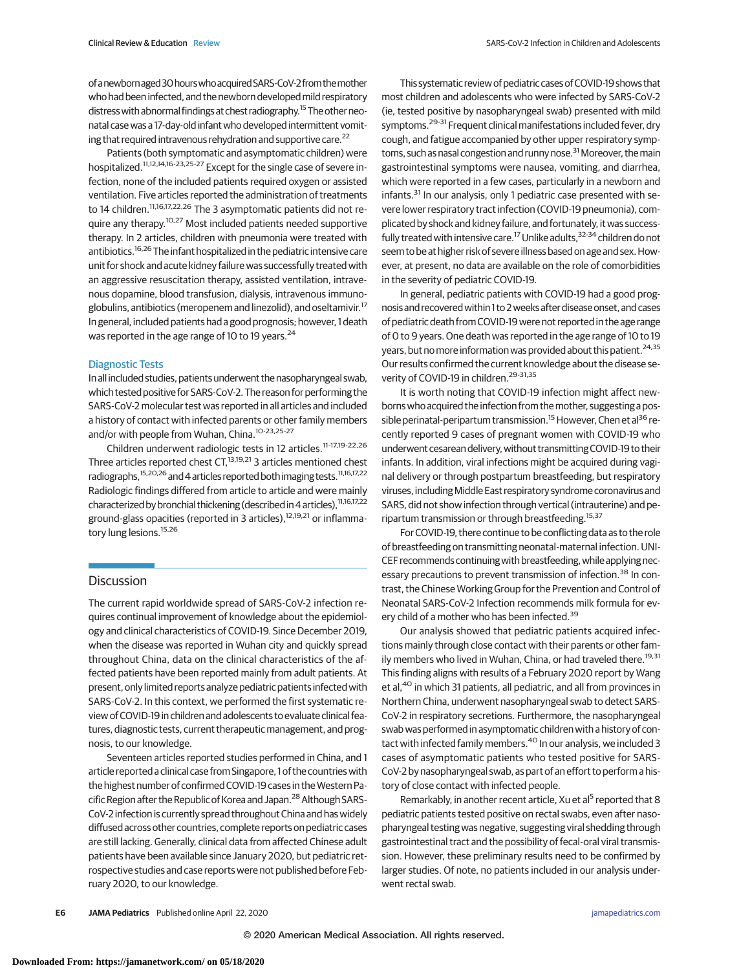Patients (both symptomatic and asymptomatic children) were hospitalized.<sup>11,12,14,16-23,25-27</sup> Except for the single case of severe infection, none of the included patients required oxygen or assisted ventilation. Five articles reported the administration of treatments to 14 children.<sup>11,16,17,22,26</sup> The 3 asymptomatic patients did not require any therapy.<sup>10,27</sup> Most included patients needed supportive therapy. In 2 articles, children with pneumonia were treated with antibiotics.16,26 The infant hospitalized in the pediatric intensive care unit for shock and acute kidney failure was successfully treated with an aggressive resuscitation therapy, assisted ventilation, intravenous dopamine, blood transfusion, dialysis, intravenous immunoglobulins, antibiotics (meropenem and linezolid), and oseltamivir.17 In general, included patients had a good prognosis; however, 1death was reported in the age range of 10 to 19 years.<sup>24</sup>

## Diagnostic Tests

Inall included studies, patients underwent the nasopharyngeal swab, which tested positive for SARS-CoV-2. The reason for performing the SARS-CoV-2 molecular test was reported in all articles and included a history of contact with infected parents or other family members and/or with people from Wuhan, China.<sup>10-23,25-27</sup>

Children underwent radiologic tests in 12 articles.11-17,19-22,26 Three articles reported chest CT,<sup>13,19,21</sup> 3 articles mentioned chest radiographs,<sup>15,20,26</sup> and 4 articles reported both imaging tests.<sup>11,16,17,22</sup> Radiologic findings differed from article to article and were mainly characterized by bronchial thickening (described in 4 articles),  $11,16,17,22$ ground-glass opacities (reported in 3 articles),<sup>12,19,21</sup> or inflammatory lung lesions.<sup>15,26</sup>

## **Discussion**

The current rapid worldwide spread of SARS-CoV-2 infection requires continual improvement of knowledge about the epidemiology and clinical characteristics of COVID-19. Since December 2019, when the disease was reported in Wuhan city and quickly spread throughout China, data on the clinical characteristics of the affected patients have been reported mainly from adult patients. At present, only limited reports analyze pediatric patients infected with SARS-CoV-2. In this context, we performed the first systematic review of COVID-19 in children and adolescents to evaluate clinical features, diagnostic tests, current therapeutic management, and prognosis, to our knowledge.

Seventeen articles reported studies performed in China, and 1 article reported a clinical case from Singapore, 1 of the countries with the highest number of confirmed COVID-19 cases in the Western Pacific Region after the Republic of Korea and Japan.<sup>28</sup> Although SARS-CoV-2 infection is currently spread throughout China and has widely diffused across other countries, complete reports on pediatric cases are still lacking. Generally, clinical data from affected Chinese adult patients have been available since January 2020, but pediatric retrospective studies and case reports were not published before February 2020, to our knowledge.

This systematic review of pediatric cases of COVID-19 shows that most children and adolescents who were infected by SARS-CoV-2 (ie, tested positive by nasopharyngeal swab) presented with mild symptoms.<sup>29-31</sup> Frequent clinical manifestations included fever, dry cough, and fatigue accompanied by other upper respiratory symptoms, such as nasal congestion and runny nose.<sup>31</sup> Moreover, the main gastrointestinal symptoms were nausea, vomiting, and diarrhea, which were reported in a few cases, particularly in a newborn and infants.<sup>31</sup> In our analysis, only 1 pediatric case presented with severe lower respiratory tract infection (COVID-19 pneumonia), complicated by shock and kidney failure, and fortunately, it was successfully treated with intensive care.<sup>17</sup> Unlike adults,<sup>32-34</sup> children do not seem to be at higher risk of severe illness based on age and sex.However, at present, no data are available on the role of comorbidities in the severity of pediatric COVID-19.

In general, pediatric patients with COVID-19 had a good prognosis and recovered within 1 to 2 weeks after disease onset, and cases of pediatric death from COVID-19 were not reported in the age range of 0 to 9 years. One death was reported in the age range of 10 to 19 years, but no more information was provided about this patient.<sup>24,35</sup> Our results confirmed the current knowledge about the disease severity of COVID-19 in children.<sup>29-31,35</sup>

It is worth noting that COVID-19 infection might affect newborns who acquired the infection from themother, suggesting a possible perinatal-peripartum transmission.<sup>15</sup> However, Chen et al<sup>36</sup> recently reported 9 cases of pregnant women with COVID-19 who underwent cesarean delivery, without transmitting COVID-19 to their infants. In addition, viral infections might be acquired during vaginal delivery or through postpartum breastfeeding, but respiratory viruses, including Middle East respiratory syndrome coronavirus and SARS, did not show infection through vertical (intrauterine) and peripartum transmission or through breastfeeding.<sup>15,37</sup>

For COVID-19, there continue to be conflicting data as to the role of breastfeeding on transmitting neonatal-maternal infection. UNI-CEF recommends continuing with breastfeeding, while applying necessary precautions to prevent transmission of infection.<sup>38</sup> In contrast, the Chinese Working Group for the Prevention and Control of Neonatal SARS-CoV-2 Infection recommends milk formula for every child of a mother who has been infected.<sup>39</sup>

Our analysis showed that pediatric patients acquired infections mainly through close contact with their parents or other family members who lived in Wuhan, China, or had traveled there.<sup>19,31</sup> This finding aligns with results of a February 2020 report by Wang et al,<sup>40</sup> in which 31 patients, all pediatric, and all from provinces in Northern China, underwent nasopharyngeal swab to detect SARS-CoV-2 in respiratory secretions. Furthermore, the nasopharyngeal swab was performed in asymptomatic children with a history of contact with infected family members.<sup>40</sup> In our analysis, we included 3 cases of asymptomatic patients who tested positive for SARS-CoV-2 by nasopharyngeal swab, as part of an effort to perform a history of close contact with infected people.

Remarkably, in another recent article, Xu et al<sup>5</sup> reported that 8 pediatric patients tested positive on rectal swabs, even after nasopharyngeal testing was negative, suggesting viral shedding through gastrointestinal tract and the possibility of fecal-oral viral transmission. However, these preliminary results need to be confirmed by larger studies. Of note, no patients included in our analysis underwent rectal swab.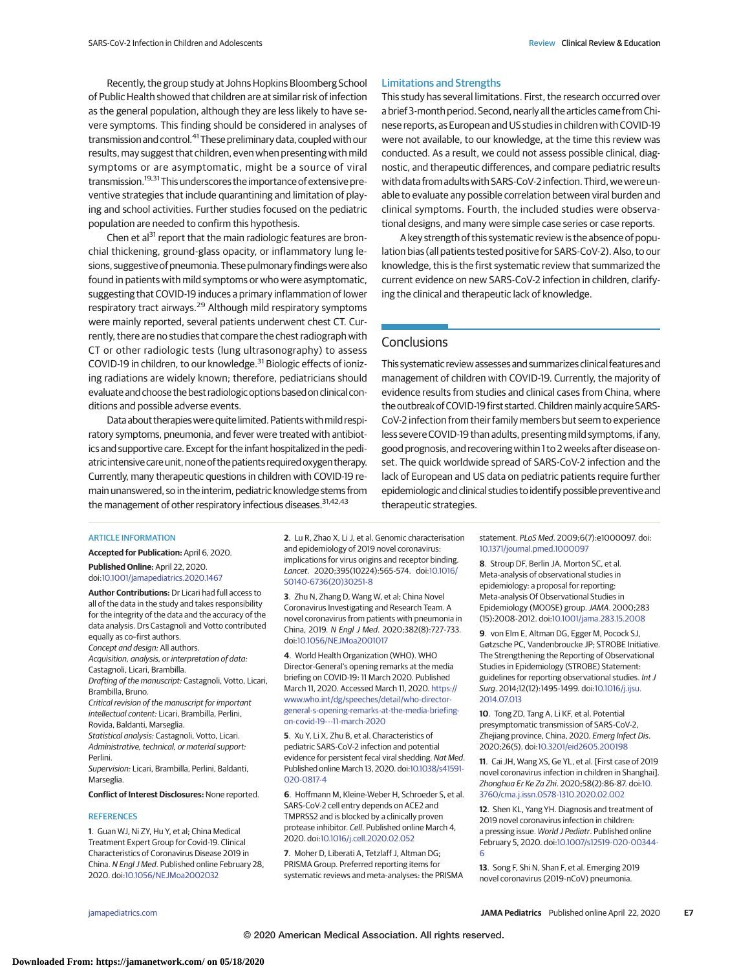Recently, the group study at Johns Hopkins Bloomberg School of Public Health showed that children are at similar risk of infection as the general population, although they are less likely to have severe symptoms. This finding should be considered in analyses of transmission and control.<sup>41</sup> These preliminary data, coupled with our results, may suggest that children, even when presenting with mild symptoms or are asymptomatic, might be a source of viral transmission.<sup>19,31</sup> This underscores the importance of extensive preventive strategies that include quarantining and limitation of playing and school activities. Further studies focused on the pediatric population are needed to confirm this hypothesis.

Chen et al<sup>31</sup> report that the main radiologic features are bronchial thickening, ground-glass opacity, or inflammatory lung lesions, suggestive of pneumonia. These pulmonary findingswere also found in patients with mild symptoms or who were asymptomatic, suggesting that COVID-19 induces a primary inflammation of lower respiratory tract airways.<sup>29</sup> Although mild respiratory symptoms were mainly reported, several patients underwent chest CT. Currently, there are no studies that compare the chest radiograph with CT or other radiologic tests (lung ultrasonography) to assess COVID-19 in children, to our knowledge.<sup>31</sup> Biologic effects of ionizing radiations are widely known; therefore, pediatricians should evaluate and choose the best radiologic options based on clinical conditions and possible adverse events.

Data about therapies were quite limited. Patients with mild respiratory symptoms, pneumonia, and fever were treated with antibiotics and supportive care. Except for the infant hospitalized in the pediatric intensivecare unit, none of the patients required oxygen therapy. Currently, many therapeutic questions in children with COVID-19 remain unanswered, so in the interim, pediatric knowledge stems from the management of other respiratory infectious diseases.<sup>31,42,43</sup>

## Limitations and Strengths

This study has several limitations. First, the research occurred over a brief 3-month period. Second, nearly all the articles came from Chinese reports, as European and US studies in children with COVID-19 were not available, to our knowledge, at the time this review was conducted. As a result, we could not assess possible clinical, diagnostic, and therapeutic differences, and compare pediatric results with data from adults with SARS-CoV-2 infection. Third, we were unable to evaluate any possible correlation between viral burden and clinical symptoms. Fourth, the included studies were observational designs, and many were simple case series or case reports.

A key strength of this systematic review is the absence of population bias (all patients tested positive for SARS-CoV-2). Also, to our knowledge, this is the first systematic review that summarized the current evidence on new SARS-CoV-2 infection in children, clarifying the clinical and therapeutic lack of knowledge.

# **Conclusions**

This systematic review assesses and summarizes clinical features and management of children with COVID-19. Currently, the majority of evidence results from studies and clinical cases from China, where the outbreak of COVID-19 first started. Children mainly acquire SARS-CoV-2 infection from their family members but seem to experience less severe COVID-19 than adults, presenting mild symptoms, if any, good prognosis, and recovering within 1 to 2 weeks after disease onset. The quick worldwide spread of SARS-CoV-2 infection and the lack of European and US data on pediatric patients require further epidemiologic and clinical studies to identify possible preventive and therapeutic strategies.

#### ARTICLE INFORMATION

**Accepted for Publication:** April 6, 2020. **Published Online:** April 22, 2020.

doi[:10.1001/jamapediatrics.2020.1467](https://jamanetwork.com/journals/jama/fullarticle/10.1001/jamapediatrics.2020.1467?utm_campaign=articlePDF%26utm_medium=articlePDFlink%26utm_source=articlePDF%26utm_content=jamapediatrics.2020.1467)

**Author Contributions:** Dr Licari had full access to all of the data in the study and takes responsibility for the integrity of the data and the accuracy of the data analysis. Drs Castagnoli and Votto contributed equally as co–first authors.

Concept and design: All authors.

Acquisition, analysis, or interpretation of data: Castagnoli, Licari, Brambilla.

Drafting of the manuscript: Castagnoli, Votto, Licari, Brambilla, Bruno.

Critical revision of the manuscript for important intellectual content: Licari, Brambilla, Perlini, Rovida, Baldanti, Marseglia.

Statistical analysis: Castagnoli, Votto, Licari. Administrative, technical, or material support: Perlini.

Supervision: Licari, Brambilla, Perlini, Baldanti, Marseglia.

**Conflict of Interest Disclosures:** None reported.

#### **REFERENCES**

**1**. Guan WJ, Ni ZY, Hu Y, et al; China Medical Treatment Expert Group for Covid-19. Clinical Characteristics of Coronavirus Disease 2019 in China. N Engl J Med. Published online February 28, 2020. doi[:10.1056/NEJMoa2002032](https://dx.doi.org/10.1056/NEJMoa2002032)

**2**. Lu R, Zhao X, Li J, et al. Genomic characterisation and epidemiology of 2019 novel coronavirus: implications for virus origins and receptor binding. Lancet. 2020;395(10224):565-574. doi[:10.1016/](https://dx.doi.org/10.1016/S0140-6736(20)30251-8) [S0140-6736\(20\)30251-8](https://dx.doi.org/10.1016/S0140-6736(20)30251-8)

**3**. Zhu N, Zhang D, Wang W, et al; China Novel Coronavirus Investigating and Research Team. A novel coronavirus from patients with pneumonia in China, 2019. N Engl J Med. 2020;382(8):727-733. doi[:10.1056/NEJMoa2001017](https://dx.doi.org/10.1056/NEJMoa2001017)

**4**. World Health Organization (WHO). WHO Director-General's opening remarks at the media briefing on COVID-19: 11 March 2020. Published March 11, 2020. Accessed March 11, 2020. [https://](https://www.who.int/dg/speeches/detail/who-director-general-s-opening-remarks-at-the-media-briefing-on-covid-19---11-march-2020) [www.who.int/dg/speeches/detail/who-director](https://www.who.int/dg/speeches/detail/who-director-general-s-opening-remarks-at-the-media-briefing-on-covid-19---11-march-2020)[general-s-opening-remarks-at-the-media-briefing](https://www.who.int/dg/speeches/detail/who-director-general-s-opening-remarks-at-the-media-briefing-on-covid-19---11-march-2020)[on-covid-19---11-march-2020](https://www.who.int/dg/speeches/detail/who-director-general-s-opening-remarks-at-the-media-briefing-on-covid-19---11-march-2020)

**5**. Xu Y, Li X, Zhu B, et al. Characteristics of pediatric SARS-CoV-2 infection and potential evidence for persistent fecal viral shedding. Nat Med. Published online March 13, 2020. doi[:10.1038/s41591-](https://dx.doi.org/10.1038/s41591-020-0817-4) [020-0817-4](https://dx.doi.org/10.1038/s41591-020-0817-4)

**6**. Hoffmann M, Kleine-Weber H, Schroeder S, et al. SARS-CoV-2 cell entry depends on ACE2 and TMPRSS2 and is blocked by a clinically proven protease inhibitor. Cell. Published online March 4, 2020. doi[:10.1016/j.cell.2020.02.052](https://dx.doi.org/10.1016/j.cell.2020.02.052)

**7**. Moher D, Liberati A, Tetzlaff J, Altman DG; PRISMA Group. Preferred reporting items for systematic reviews and meta-analyses: the PRISMA statement. PLoS Med. 2009;6(7):e1000097. doi: [10.1371/journal.pmed.1000097](https://dx.doi.org/10.1371/journal.pmed.1000097)

**8**. Stroup DF, Berlin JA, Morton SC, et al. Meta-analysis of observational studies in epidemiology: a proposal for reporting: Meta-analysis Of Observational Studies in Epidemiology (MOOSE) group.JAMA. 2000;283 (15):2008-2012. doi[:10.1001/jama.283.15.2008](https://jamanetwork.com/journals/jama/fullarticle/10.1001/jama.283.15.2008?utm_campaign=articlePDF%26utm_medium=articlePDFlink%26utm_source=articlePDF%26utm_content=jamapediatrics.2020.1467)

**9**. von Elm E, Altman DG, Egger M, Pocock SJ, Gøtzsche PC, Vandenbroucke JP; STROBE Initiative. The Strengthening the Reporting of Observational Studies in Epidemiology (STROBE) Statement: guidelines for reporting observational studies. Int J Surg. 2014;12(12):1495-1499. doi[:10.1016/j.ijsu.](https://dx.doi.org/10.1016/j.ijsu.2014.07.013) [2014.07.013](https://dx.doi.org/10.1016/j.ijsu.2014.07.013)

**10**. Tong ZD, Tang A, Li KF, et al. Potential presymptomatic transmission of SARS-CoV-2, Zhejiang province, China, 2020. Emerg Infect Dis. 2020;26(5). doi[:10.3201/eid2605.200198](https://dx.doi.org/10.3201/eid2605.200198)

**11**. Cai JH, Wang XS, Ge YL, et al. [First case of 2019 novel coronavirus infection in children in Shanghai]. Zhonghua Er Ke Za Zhi. 2020;58(2):86-87. doi[:10.](https://dx.doi.org/10.3760/cma.j.issn.0578-1310.2020.02.002) [3760/cma.j.issn.0578-1310.2020.02.002](https://dx.doi.org/10.3760/cma.j.issn.0578-1310.2020.02.002)

**12**. Shen KL, Yang YH. Diagnosis and treatment of 2019 novel coronavirus infection in children: a pressing issue. World J Pediatr. Published online February 5, 2020. doi[:10.1007/s12519-020-00344-](https://dx.doi.org/10.1007/s12519-020-00344-6) [6](https://dx.doi.org/10.1007/s12519-020-00344-6)

**13**. Song F, Shi N, Shan F, et al. Emerging 2019 novel coronavirus (2019-nCoV) pneumonia.